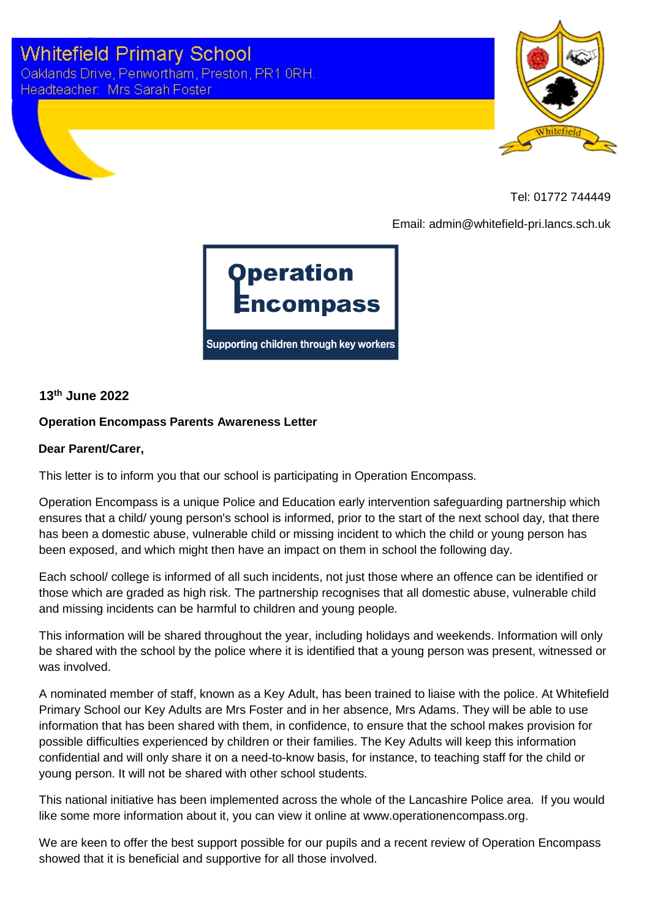



Tel: 01772 744449

Email: admin@whitefield-pri.lancs.sch.uk



**13th June 2022**

## **Operation Encompass Parents Awareness Letter**

## **Dear Parent/Carer,**

This letter is to inform you that our school is participating in Operation Encompass.

Operation Encompass is a unique Police and Education early intervention safeguarding partnership which ensures that a child/ young person's school is informed, prior to the start of the next school day, that there has been a domestic abuse, vulnerable child or missing incident to which the child or young person has been exposed, and which might then have an impact on them in school the following day.

Each school/ college is informed of all such incidents, not just those where an offence can be identified or those which are graded as high risk. The partnership recognises that all domestic abuse, vulnerable child and missing incidents can be harmful to children and young people.

This information will be shared throughout the year, including holidays and weekends. Information will only be shared with the school by the police where it is identified that a young person was present, witnessed or was involved.

A nominated member of staff, known as a Key Adult, has been trained to liaise with the police. At Whitefield Primary School our Key Adults are Mrs Foster and in her absence, Mrs Adams. They will be able to use information that has been shared with them, in confidence, to ensure that the school makes provision for possible difficulties experienced by children or their families. The Key Adults will keep this information confidential and will only share it on a need-to-know basis, for instance, to teaching staff for the child or young person. It will not be shared with other school students.

This national initiative has been implemented across the whole of the Lancashire Police area. If you would like some more information about it, you can view it online at www.operationencompass.org.

We are keen to offer the best support possible for our pupils and a recent review of Operation Encompass showed that it is beneficial and supportive for all those involved.